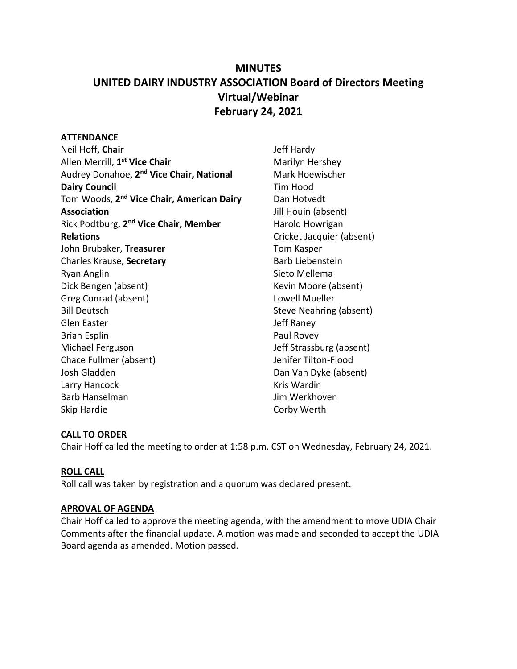# **MINUTES UNITED DAIRY INDUSTRY ASSOCIATION Board of Directors Meeting Virtual/Webinar February 24, 2021**

## **ATTENDANCE**

| Neil Hoff, Chair                                      | Jeff Hardy            |
|-------------------------------------------------------|-----------------------|
| Allen Merrill, 1 <sup>st</sup> Vice Chair             | Marilyn Hershe        |
| Audrey Donahoe, 2 <sup>nd</sup> Vice Chair, National  | Mark Hoewisch         |
| <b>Dairy Council</b>                                  | Tim Hood              |
| Tom Woods, 2 <sup>nd</sup> Vice Chair, American Dairy | Dan Hotvedt           |
| <b>Association</b>                                    | Jill Houin (abse      |
| Rick Podtburg, 2 <sup>nd</sup> Vice Chair, Member     | Harold Howriga        |
| <b>Relations</b>                                      | Cricket Jacquie       |
| John Brubaker, Treasurer                              | Tom Kasper            |
| Charles Krause, Secretary                             | <b>Barb Liebenste</b> |
| Ryan Anglin                                           | Sieto Mellema         |
| Dick Bengen (absent)                                  | Kevin Moore (a        |
| Greg Conrad (absent)                                  | Lowell Mueller        |
| <b>Bill Deutsch</b>                                   | <b>Steve Neahring</b> |
| Glen Easter                                           | Jeff Raney            |
| <b>Brian Esplin</b>                                   | Paul Rovey            |
| Michael Ferguson                                      | Jeff Strassburg       |
| Chace Fullmer (absent)                                | Jenifer Tilton-F      |
| Josh Gladden                                          | Dan Van Dyke          |
| Larry Hancock                                         | Kris Wardin           |
| Barb Hanselman                                        | Jim Werkhover         |
| Skip Hardie                                           | Corby Werth           |

ey her ent) an er (absent) ein absent) Lowell Mueller g (absent) (absent) Flood (absent) Jim Werkhoven Corby Werth

# **CALL TO ORDER**

Chair Hoff called the meeting to order at 1:58 p.m. CST on Wednesday, February 24, 2021.

# **ROLL CALL**

Roll call was taken by registration and a quorum was declared present.

## **APROVAL OF AGENDA**

Chair Hoff called to approve the meeting agenda, with the amendment to move UDIA Chair Comments after the financial update. A motion was made and seconded to accept the UDIA Board agenda as amended. Motion passed.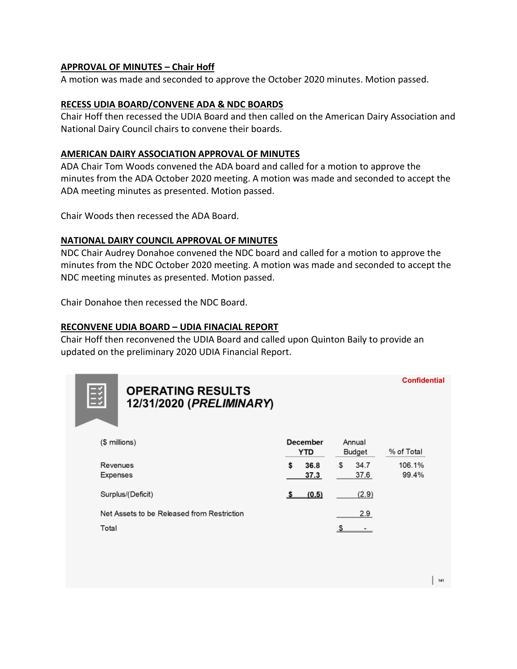# **APPROVAL OF MINUTES – Chair Hoff**

A motion was made and seconded to approve the October 2020 minutes. Motion passed.

## **RECESS UDIA BOARD/CONVENE ADA & NDC BOARDS**

Chair Hoff then recessed the UDIA Board and then called on the American Dairy Association and National Dairy Council chairs to convene their boards.

#### **AMERICAN DAIRY ASSOCIATION APPROVAL OF MINUTES**

ADA Chair Tom Woods convened the ADA board and called for a motion to approve the minutes from the ADA October 2020 meeting. A motion was made and seconded to accept the ADA meeting minutes as presented. Motion passed.

Chair Woods then recessed the ADA Board.

## **NATIONAL DAIRY COUNCIL APPROVAL OF MINUTES**

NDC Chair Audrey Donahoe convened the NDC board and called for a motion to approve the minutes from the NDC October 2020 meeting. A motion was made and seconded to accept the NDC meeting minutes as presented. Motion passed.

Chair Donahoe then recessed the NDC Board.

#### **RECONVENE UDIA BOARD – UDIA FINACIAL REPORT**

Chair Hoff then reconvened the UDIA Board and called upon Quinton Baily to provide an updated on the preliminary 2020 UDIA Financial Report.



 $\vert$  141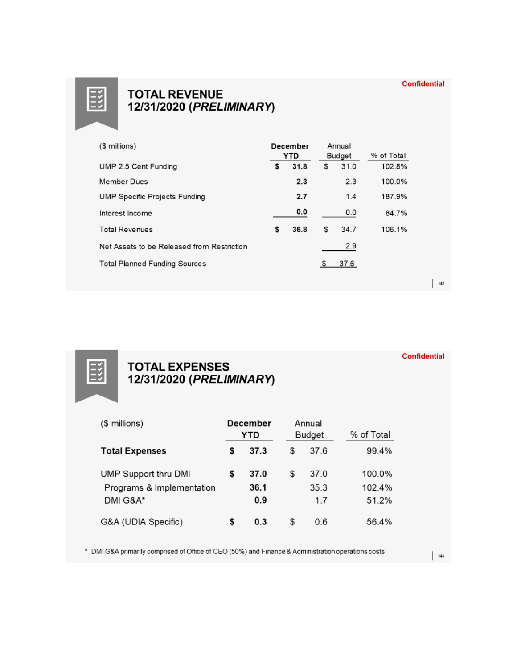

# **TOTAL REVENUE** 12/31/2020 (PRELIMINARY)

| (\$ millions)                              | <b>December</b><br>YTD |      | Annual<br><b>Budget</b> |      | % of Total |
|--------------------------------------------|------------------------|------|-------------------------|------|------------|
| UMP 2.5 Cent Funding                       | \$                     | 31.8 | \$                      | 31.0 | 102.8%     |
| Member Dues                                |                        | 2.3  |                         | 2.3  | 100.0%     |
| <b>UMP Specific Projects Funding</b>       |                        | 2.7  |                         | 1.4  | 187.9%     |
| Interest Income                            |                        | 0.0  |                         | 0.0  | 84.7%      |
| <b>Total Revenues</b>                      | S                      | 36.8 | \$                      | 34.7 | 106.1%     |
| Net Assets to be Released from Restriction |                        |      |                         | 2.9  |            |
| <b>Total Planned Funding Sources</b>       |                        |      |                         | 37.6 |            |

 $\vert$  142

**Confidential** 



# TOTAL EXPENSES<br>12/31/2020 (PRELIMINARY)

| (\$ millions)                                                 | December<br>YTD |                     |   | Annual<br><b>Budget</b> | % of Total                |  |  |
|---------------------------------------------------------------|-----------------|---------------------|---|-------------------------|---------------------------|--|--|
| <b>Total Expenses</b>                                         | S               | 37.3                | S | 37.6                    | 99.4%                     |  |  |
| UMP Support thru DMI<br>Programs & Implementation<br>DMI G&A* | \$              | 37.0<br>36.1<br>0.9 | S | 37.0<br>35.3<br>1.7     | 100.0%<br>102.4%<br>51.2% |  |  |
| G&A (UDIA Specific)                                           | S               | 0.3                 | S | 0.6                     | 56.4%                     |  |  |

\* DMI G&A primarily comprised of Office of CEO (50%) and Finance & Administration operations costs

 $\begin{array}{|c|c|}\n\hline\n\end{array}$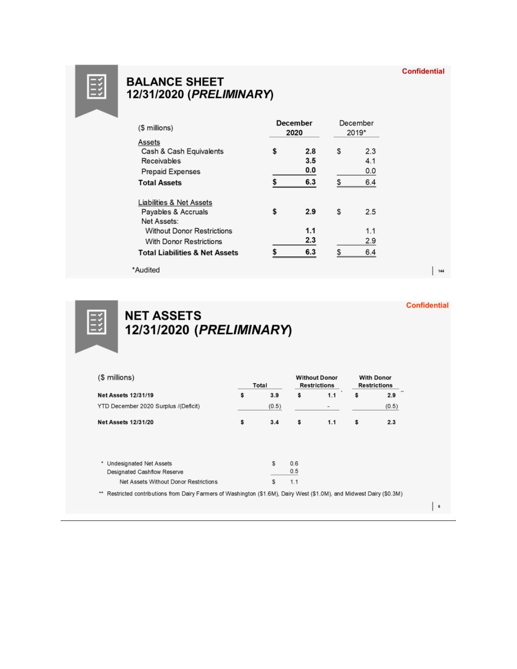#### **Confidential**



# **BALANCE SHEET** 12/31/2020 (PRELIMINARY)

| (\$ millions)                                                               | <b>December</b><br>2020 |                   | December<br>2019* |                   |
|-----------------------------------------------------------------------------|-------------------------|-------------------|-------------------|-------------------|
| Assets<br>Cash & Cash Equivalents<br>Receivables<br><b>Prepaid Expenses</b> | \$                      | 2.8<br>3.5<br>0.0 | \$                | 2.3<br>4.1<br>0.0 |
| <b>Total Assets</b>                                                         |                         | 6.3               |                   | 6.4               |
| Liabilities & Net Assets                                                    | \$                      | 2.9               |                   | 2.5               |
| Payables & Accruals<br>Net Assets:                                          |                         |                   | \$                |                   |
| <b>Without Donor Restrictions</b><br>With Donor Restrictions                |                         | 1.1<br>2.3        |                   | 1.1<br>2.9        |
| <b>Total Liabilities &amp; Net Assets</b>                                   |                         | 6.3               | \$                | 6.4               |

 $\begin{array}{|c|c|}\n\hline\n\end{array}$ 

**Confidential** 



# **NET ASSETS** 12/31/2020 (PRELIMINARY)

| (\$ millions)                         |    | Total |     | <b>Without Donor</b><br><b>Restrictions</b> |   | <b>With Donor</b><br><b>Restrictions</b> |  |
|---------------------------------------|----|-------|-----|---------------------------------------------|---|------------------------------------------|--|
| <b>Net Assets 12/31/19</b>            | \$ | 3.9   | \$  | 1.1                                         | S | 2.9                                      |  |
| YTD December 2020 Surplus /(Deficit)  |    | (0.5) |     |                                             |   | (0.5)                                    |  |
| <b>Net Assets 12/31/20</b>            | \$ | 3.4   | \$  | 1.1                                         | s | 2.3                                      |  |
|                                       |    |       |     |                                             |   |                                          |  |
| Undesignated Net Assets               |    | s     | 0.6 |                                             |   |                                          |  |
| Designated Cashflow Reserve           |    |       | 0.5 |                                             |   |                                          |  |
| Net Assets Without Donor Restrictions |    | S     | 1.1 |                                             |   |                                          |  |

 $\vert\cdot\vert$